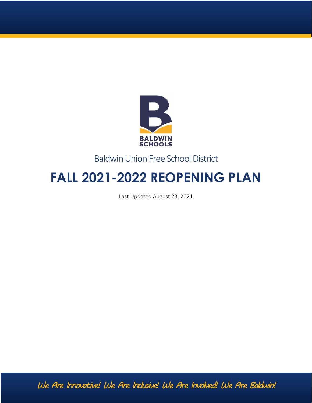

## Baldwin Union Free School District

# **FALL 2021-2022 REOPENING PLAN**

Last Updated August 23, 2021

*We Are Innovative! We Are Inclusive! We Are Involved! We Are Baldwin!*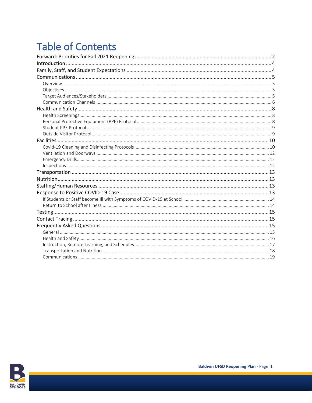## **Table of Contents**

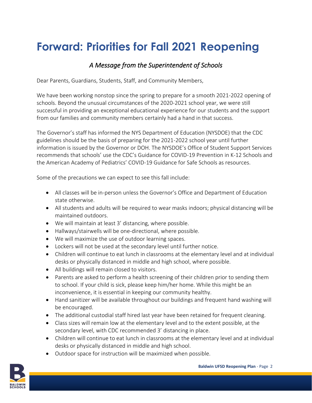# <span id="page-2-0"></span>**Forward: Priorities for Fall 2021 Reopening**

## *A Message from the Superintendent of Schools*

Dear Parents, Guardians, Students, Staff, and Community Members,

We have been working nonstop since the spring to prepare for a smooth 2021-2022 opening of schools. Beyond the unusual circumstances of the 2020-2021 school year, we were still successful in providing an exceptional educational experience for our students and the support from our families and community members certainly had a hand in that success.

The Governor's staff has informed the NYS Department of Education (NYSDOE) that the CDC guidelines should be the basis of preparing for the 2021-2022 school year until further information is issued by the Governor or DOH. The NYSDOE's Office of Student Support Services recommends that schools' use the CDC's Guidance for COVID-19 Prevention in K-12 Schools and the American Academy of Pediatrics' COVID-19 Guidance for Safe Schools as resources.

Some of the precautions we can expect to see this fall include:

- All classes will be in-person unless the Governor's Office and Department of Education state otherwise.
- All students and adults will be required to wear masks indoors; physical distancing will be maintained outdoors.
- We will maintain at least 3' distancing, where possible.
- Hallways/stairwells will be one-directional, where possible.
- We will maximize the use of outdoor learning spaces.
- Lockers will not be used at the secondary level until further notice.
- Children will continue to eat lunch in classrooms at the elementary level and at individual desks or physically distanced in middle and high school, where possible.
- All buildings will remain closed to visitors.
- Parents are asked to perform a health screening of their children prior to sending them to school. If your child is sick, please keep him/her home. While this might be an inconvenience, it is essential in keeping our community healthy.
- Hand sanitizer will be available throughout our buildings and frequent hand washing will be encouraged.
- The additional custodial staff hired last year have been retained for frequent cleaning.
- Class sizes will remain low at the elementary level and to the extent possible, at the secondary level, with CDC recommended 3' distancing in place.
- Children will continue to eat lunch in classrooms at the elementary level and at individual desks or physically distanced in middle and high school.
- Outdoor space for instruction will be maximized when possible.

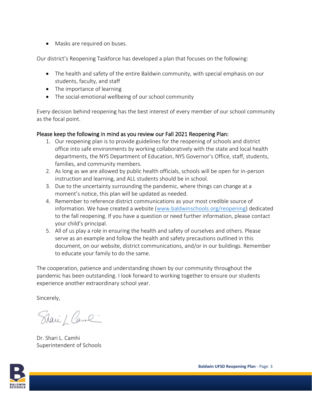• Masks are required on buses.

Our district's Reopening Taskforce has developed a plan that focuses on the following:

- The health and safety of the entire Baldwin community, with special emphasis on our students, faculty, and staff
- The importance of learning
- The social-emotional wellbeing of our school community

Every decision behind reopening has the best interest of every member of our school community as the focal point.

### Please keep the following in mind as you review our Fall 2021 Reopening Plan:

- 1. Our reopening plan is to provide guidelines for the reopening of schools and district office into safe environments by working collaboratively with the state and local health departments, the NYS Department of Education, NYS Governor's Office, staff, students, families, and community members.
- 2. As long as we are allowed by public health officials, schools will be open for in-person instruction and learning, and ALL students should be in school.
- 3. Due to the uncertainty surrounding the pandemic, where things can change at a moment's notice, this plan will be updated as needed.
- 4. Remember to reference district communications as your most credible source of information. We have created a website [\(www.baldwinschools.org/reopening\)](http://www.baldwinschools.org/reopening) dedicated to the fall reopening. If you have a question or need further information, please contact your child's principal.
- 5. All of us play a role in ensuring the health and safety of ourselves and others. Please serve as an example and follow the health and safety precautions outlined in this document, on our website, district communications, and/or in our buildings. Remember to educate your family to do the same.

The cooperation, patience and understanding shown by our community throughout the pandemic has been outstanding. I look forward to working together to ensure our students experience another extraordinary school year.

Sincerely,

Stari/Came

Dr. Shari L. Camhi Superintendent of Schools

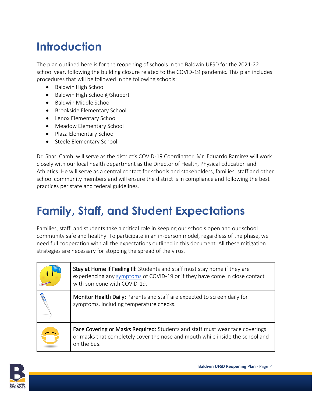## <span id="page-4-0"></span>**Introduction**

The plan outlined here is for the reopening of schools in the Baldwin UFSD for the 2021-22 school year, following the building closure related to the COVID-19 pandemic. This plan includes procedures that will be followed in the following schools:

- Baldwin High School
- Baldwin High School@Shubert
- Baldwin Middle School
- Brookside Elementary School
- Lenox Elementary School
- Meadow Elementary School
- Plaza Elementary School
- Steele Elementary School

Dr. Shari Camhi will serve as the district's COVID-19 Coordinator. Mr. Eduardo Ramirez will work closely with our local health department as the Director of Health, Physical Education and Athletics. He will serve as a central contact for schools and stakeholders, families, staff and other school community members and will ensure the district is in compliance and following the best practices per state and federal guidelines.

## <span id="page-4-1"></span>**Family, Staff, and Student Expectations**

Families, staff, and students take a critical role in keeping our schools open and our school community safe and healthy. To participate in an in-person model, regardless of the phase, we need full cooperation with all the expectations outlined in this document. All these mitigation strategies are necessary for stopping the spread of the virus.

| Stay at Home if Feeling III: Students and staff must stay home if they are<br>experiencing any symptoms of COVID-19 or if they have come in close contact<br>with someone with COVID-19. |
|------------------------------------------------------------------------------------------------------------------------------------------------------------------------------------------|
| Monitor Health Daily: Parents and staff are expected to screen daily for<br>symptoms, including temperature checks.                                                                      |
| Face Covering or Masks Required: Students and staff must wear face coverings<br>or masks that completely cover the nose and mouth while inside the school and<br>on the bus.             |

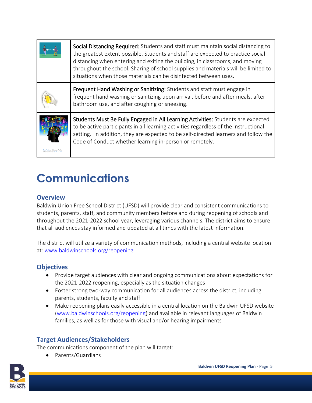| Social Distancing Required: Students and staff must maintain social distancing to<br>the greatest extent possible. Students and staff are expected to practice social<br>distancing when entering and exiting the building, in classrooms, and moving<br>throughout the school. Sharing of school supplies and materials will be limited to<br>situations when those materials can be disinfected between uses. |
|-----------------------------------------------------------------------------------------------------------------------------------------------------------------------------------------------------------------------------------------------------------------------------------------------------------------------------------------------------------------------------------------------------------------|
| Frequent Hand Washing or Sanitizing: Students and staff must engage in<br>frequent hand washing or sanitizing upon arrival, before and after meals, after<br>bathroom use, and after coughing or sneezing.                                                                                                                                                                                                      |
| Students Must Be Fully Engaged in All Learning Activities: Students are expected<br>to be active participants in all learning activities regardless of the instructional<br>setting. In addition, they are expected to be self-directed learners and follow the<br>Code of Conduct whether learning in-person or remotely.                                                                                      |

## <span id="page-5-0"></span>**Communications**

### <span id="page-5-1"></span>**Overview**

Baldwin Union Free School District (UFSD) will provide clear and consistent communications to students, parents, staff, and community members before and during reopening of schools and throughout the 2021-2022 school year, leveraging various channels. The district aims to ensure that all audiences stay informed and updated at all times with the latest information.

The district will utilize a variety of communication methods, including a central website location at: [www.baldwinschools.org/reopening](http://www.baldwinschools.org/reopening)

### <span id="page-5-2"></span>**Objectives**

- Provide target audiences with clear and ongoing communications about expectations for the 2021-2022 reopening, especially as the situation changes
- Foster strong two-way communication for all audiences across the district, including parents, students, faculty and staff
- Make reopening plans easily accessible in a central location on the Baldwin UFSD website [\(www.baldwinschools.org/reopening\)](http://www.baldwinschools.org/reopening) and available in relevant languages of Baldwin families, as well as for those with visual and/or hearing impairments

## <span id="page-5-3"></span>**Target Audiences/Stakeholders**

The communications component of the plan will target:

• Parents/Guardians

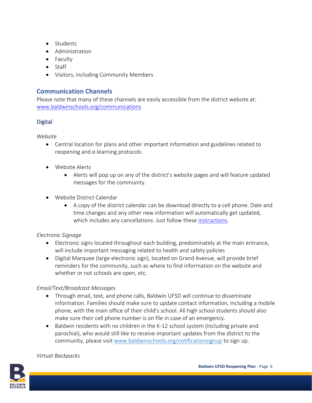- Students
- Administration
- Faculty
- Staff
- Visitors, including Community Members

### <span id="page-6-0"></span>**Communication Channels**

Please note that many of these channels are easily accessible from the district website at: [www.baldwinschools.org/communications](http://www.baldwinschools.org/communications)

### **Digital**

*Website*

- Central location for plans and other important information and guidelines related to reopening and e-learning protocols
- Website Alerts
	- Alerts will pop up on any of the district's website pages and will feature updated messages for the community.
- Website District Calendar
	- A copy of the district calendar can be download directly to a cell phone. Date and time changes and any other new information will automatically get updated, which includes any cancellations. Just follow these [instructions.](https://www.baldwinschools.org/site/Default.aspx?PageID=2&PageType=20&DomainID=4&ModuleInstanceID=1)

### *Electronic Signage*

- Electronic signs located throughout each building, predominately at the main entrance, will include important messaging related to health and safety policies
- Digital Marquee (large electronic sign), located on Grand Avenue, will provide brief reminders for the community, such as where to find information on the website and whether or not schools are open, etc.

### *Email/Text/Broadcast Messages*

- Through email, text, and phone calls, Baldwin UFSD will continue to disseminate information. Families should make sure to update contact information, including a mobile phone, with the main office of their child's school. All high school students should also make sure their cell phone number is on file in case of an emergency.
- Baldwin residents with no children in the K-12 school system (including private and parochial), who would still like to receive important updates from the district to the community, please visit [www.baldwinschools.org/notificationsignup](http://www.baldwinschools.org/notificationsignup) to sign up.

### *Virtual Backpacks*

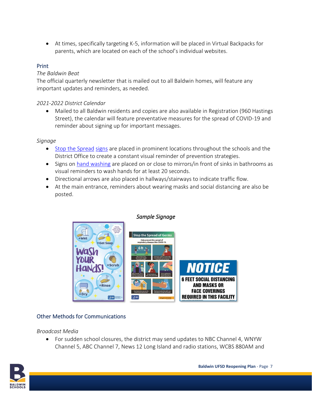• At times, specifically targeting K-5, information will be placed in Virtual Backpacks for parents, which are located on each of the school's individual websites.

### Print

### *The Baldwin Beat*

The official quarterly newsletter that is mailed out to all Baldwin homes, will feature any important updates and reminders, as needed.

#### *2021-2022 District Calendar*

• Mailed to all Baldwin residents and copies are also available in Registration (960 Hastings Street), the calendar will feature preventative measures for the spread of COVID-19 and reminder about signing up for important messages.

#### *Signage*

- [Stop the Spread](https://www.cdc.gov/coronavirus/2019-ncov/downloads/stop-the-spread-of-germs-11x17-en.pdf) [signs](https://www.cdc.gov/coronavirus/2019-ncov/communication/print-resources.html?Sort=Date%3A%3Adesc) are placed in prominent locations throughout the schools and the District Office to create a constant visual reminder of prevention strategies.
- Signs on [hand washing](https://www.cdc.gov/handwashing/posters.html) are placed on or close to mirrors/in front of sinks in bathrooms as visual reminders to wash hands for at least 20 seconds.
- Directional arrows are also placed in hallways/stairways to indicate traffic flow.
- At the main entrance, reminders about wearing masks and social distancing are also be posted.



### *Sample Signage*



### Other Methods for Communications

#### *Broadcast Media*

• For sudden school closures, the district may send updates to NBC Channel 4, WNYW Channel 5, ABC Channel 7, News 12 Long Island and radio stations, WCBS 880AM and

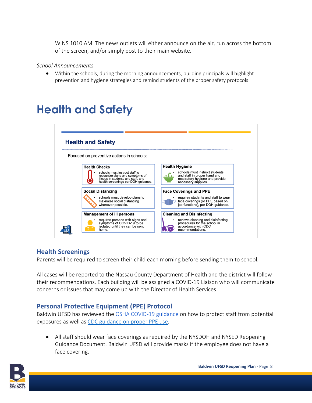WINS 1010 AM. The news outlets will either announce on the air, run across the bottom of the screen, and/or simply post to their main website.

*School Announcements*

• Within the schools, during the morning announcements, building principals will highlight prevention and hygiene strategies and remind students of the proper safety protocols.

## <span id="page-8-0"></span>**Health and Safety**



## <span id="page-8-1"></span>**Health Screenings**

Parents will be required to screen their child each morning before sending them to school.

All cases will be reported to the Nassau County Department of Health and the district will follow their recommendations. Each building will be assigned a COVID-19 Liaison who will communicate concerns or issues that may come up with the Director of Health Services

## <span id="page-8-2"></span>**Personal Protective Equipment (PPE) Protocol**

Baldwin UFSD has reviewed th[e OSHA COVID-19 guidance](https://www.osha.gov/Publications/OSHA3990.pdf) on how to protect staff from potential exposures as well as [CDC guidance on proper PPE use](https://www.cdc.gov/coronavirus/2019-ncov/hcp/using-ppe.html)*.* 

• All staff should wear face coverings as required by the NYSDOH and NYSED Reopening Guidance Document. Baldwin UFSD will provide masks if the employee does not have a face covering.

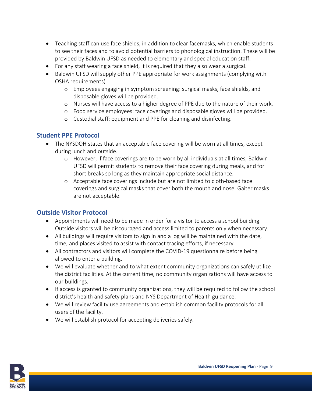- Teaching staff can use face shields, in addition to clear facemasks, which enable students to see their faces and to avoid potential barriers to phonological instruction. These will be provided by Baldwin UFSD as needed to elementary and special education staff.
- For any staff wearing a face shield, it is required that they also wear a surgical.
- Baldwin UFSD will supply other PPE appropriate for work assignments (complying with OSHA requirements)
	- o Employees engaging in symptom screening: surgical masks, face shields, and disposable gloves will be provided.
	- o Nurses will have access to a higher degree of PPE due to the nature of their work.
	- o Food service employees: face coverings and disposable gloves will be provided.
	- o Custodial staff: equipment and PPE for cleaning and disinfecting.

## <span id="page-9-0"></span>**Student PPE Protocol**

- The NYSDOH states that an acceptable face covering will be worn at all times, except during lunch and outside.
	- o However, if face coverings are to be worn by all individuals at all times, Baldwin UFSD will permit students to remove their face covering during meals, and for short breaks so long as they maintain appropriate social distance.
	- o Acceptable face coverings include but are not limited to cloth-based face coverings and surgical masks that cover both the mouth and nose. Gaiter masks are not acceptable.

## <span id="page-9-1"></span>**Outside Visitor Protocol**

- Appointments will need to be made in order for a visitor to access a school building. Outside visitors will be discouraged and access limited to parents only when necessary.
- All buildings will require visitors to sign in and a log will be maintained with the date, time, and places visited to assist with contact tracing efforts, if necessary.
- All contractors and visitors will complete the COVID-19 questionnaire before being allowed to enter a building.
- We will evaluate whether and to what extent community organizations can safely utilize the district facilities. At the current time, no community organizations will have access to our buildings.
- If access is granted to community organizations, they will be required to follow the school district's health and safety plans and NYS Department of Health guidance.
- We will review facility use agreements and establish common facility protocols for all users of the facility.
- We will establish protocol for accepting deliveries safely.

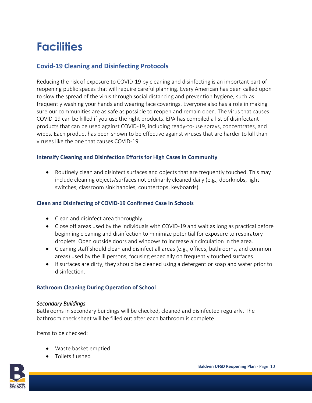## <span id="page-10-0"></span>**Facilities**

### <span id="page-10-1"></span>**Covid-19 Cleaning and Disinfecting Protocols**

Reducing the risk of exposure to COVID-19 by cleaning and disinfecting is an important part of reopening public spaces that will require careful planning. Every American has been called upon to slow the spread of the virus through social distancing and prevention hygiene, such as frequently washing your hands and wearing face coverings. Everyone also has a role in making sure our communities are as safe as possible to reopen and remain open. The virus that causes COVID-19 can be killed if you use the right products. EPA has compiled a list of disinfectant products that can be used against COVID-19, including ready-to-use sprays, concentrates, and wipes. Each product has been shown to be effective against viruses that are harder to kill than viruses like the one that causes COVID-19.

#### **Intensify Cleaning and Disinfection Efforts for High Cases in Community**

• Routinely clean and disinfect surfaces and objects that are frequently touched. This may include cleaning objects/surfaces not ordinarily cleaned daily (e.g., doorknobs, light switches, classroom sink handles, countertops, keyboards).

#### **Clean and Disinfecting of COVID-19 Confirmed Case in Schools**

- Clean and disinfect area thoroughly*.*
- Close off areas used by the individuals with COVID-19 and wait as long as practical before beginning cleaning and disinfection to minimize potential for exposure to respiratory droplets. Open outside doors and windows to increase air circulation in the area.
- Cleaning staff should clean and disinfect all areas (e.g., offices, bathrooms, and common areas) used by the ill persons, focusing especially on frequently touched surfaces.
- If surfaces are dirty, they should be cleaned using a detergent or soap and water prior to disinfection.

### **Bathroom Cleaning During Operation of School**

#### *Secondary Buildings*

Bathrooms in secondary buildings will be checked, cleaned and disinfected regularly. The bathroom check sheet will be filled out after each bathroom is complete.

Items to be checked:

- Waste basket emptied
- Toilets flushed

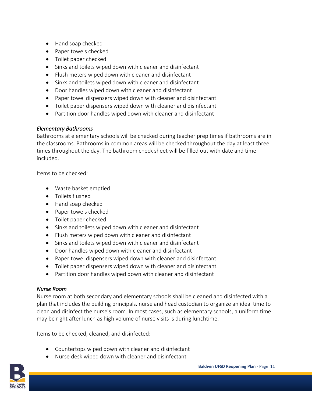- Hand soap checked
- Paper towels checked
- Toilet paper checked
- Sinks and toilets wiped down with cleaner and disinfectant
- Flush meters wiped down with cleaner and disinfectant
- Sinks and toilets wiped down with cleaner and disinfectant
- Door handles wiped down with cleaner and disinfectant
- Paper towel dispensers wiped down with cleaner and disinfectant
- Toilet paper dispensers wiped down with cleaner and disinfectant
- Partition door handles wiped down with cleaner and disinfectant

### *Elementary Bathrooms*

Bathrooms at elementary schools will be checked during teacher prep times if bathrooms are in the classrooms. Bathrooms in common areas will be checked throughout the day at least three times throughout the day. The bathroom check sheet will be filled out with date and time included.

Items to be checked:

- Waste basket emptied
- Toilets flushed
- Hand soap checked
- Paper towels checked
- Toilet paper checked
- Sinks and toilets wiped down with cleaner and disinfectant
- Flush meters wiped down with cleaner and disinfectant
- Sinks and toilets wiped down with cleaner and disinfectant
- Door handles wiped down with cleaner and disinfectant
- Paper towel dispensers wiped down with cleaner and disinfectant
- Toilet paper dispensers wiped down with cleaner and disinfectant
- Partition door handles wiped down with cleaner and disinfectant

### *Nurse Room*

Nurse room at both secondary and elementary schools shall be cleaned and disinfected with a plan that includes the building principals, nurse and head custodian to organize an ideal time to clean and disinfect the nurse's room. In most cases, such as elementary schools, a uniform time may be right after lunch as high volume of nurse visits is during lunchtime.

Items to be checked, cleaned, and disinfected:

- Countertops wiped down with cleaner and disinfectant
- Nurse desk wiped down with cleaner and disinfectant

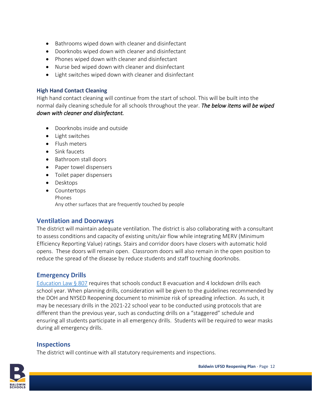- Bathrooms wiped down with cleaner and disinfectant
- Doorknobs wiped down with cleaner and disinfectant
- Phones wiped down with cleaner and disinfectant
- Nurse bed wiped down with cleaner and disinfectant
- Light switches wiped down with cleaner and disinfectant

#### **High Hand Contact Cleaning**

High hand contact cleaning will continue from the start of school. This will be built into the normal daily cleaning schedule for all schools throughout the year. *The below items will be wiped down with cleaner and disinfectant.* 

- Doorknobs inside and outside
- Light switches
- Flush meters
- Sink faucets
- Bathroom stall doors
- Paper towel dispensers
- Toilet paper dispensers
- Desktops
- Countertops Phones Any other surfaces that are frequently touched by people

### <span id="page-12-0"></span>**Ventilation and Doorways**

The district will maintain adequate ventilation. The district is also collaborating with a consultant to assess conditions and capacity of existing units/air flow while integrating MERV (Minimum Efficiency Reporting Value) ratings. Stairs and corridor doors have closers with automatic hold opens. These doors will remain open. Classroom doors will also remain in the open position to reduce the spread of the disease by reduce students and staff touching doorknobs.

### <span id="page-12-1"></span>**Emergency Drills**

[Education Law § 807](https://www.nysenate.gov/legislation/laws/EDN/807) requires that schools conduct 8 evacuation and 4 lockdown drills each school year. When planning drills, consideration will be given to the guidelines recommended by the DOH and NYSED Reopening document to minimize risk of spreading infection. As such, it may be necessary drills in the 2021-22 school year to be conducted using protocols that are different than the previous year, such as conducting drills on a "staggered" schedule and ensuring all students participate in all emergency drills. Students will be required to wear masks during all emergency drills.

### <span id="page-12-2"></span>**Inspections**

The district will continue with all statutory requirements and inspections.

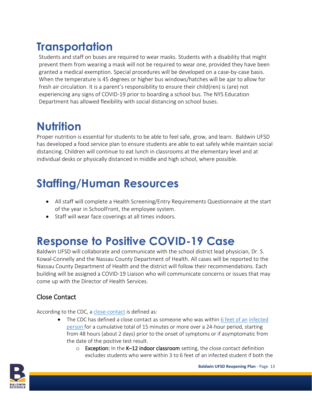## <span id="page-13-0"></span>**Transportation**

Students and staff on buses are required to wear masks. Students with a disability that might prevent them from wearing a mask will not be required to wear one, provided they have been granted a medical exemption. Special procedures will be developed on a case-by-case basis. When the temperature is 45 degrees or higher bus windows/hatches will be ajar to allow for fresh air circulation. It is a parent's responsibility to ensure their child(ren) is (are) not experiencing any signs of COVID-19 prior to boarding a school bus. The NYS Education Department has allowed flexibility with social distancing on school buses.

# <span id="page-13-1"></span>**Nutrition**

Proper nutrition is essential for students to be able to feel safe, grow, and learn. Baldwin UFSD has developed a food service plan to ensure students are able to eat safely while maintain social distancing. Children will continue to eat lunch in classrooms at the elementary level and at individual desks or physically distanced in middle and high school, where possible.

# <span id="page-13-2"></span>**Staffing/Human Resources**

- All staff will complete a Health Screening/Entry Requirements Questionnaire at the start of the year in SchoolFront, the employee system.
- Staff will wear face coverings at all times indoors.

# <span id="page-13-3"></span>**Response to Positive COVID-19 Case**

Baldwin UFSD will collaborate and communicate with the school district lead physician, Dr. S. Kowal-Connelly and the Nassau County Department of Health. All cases will be reported to the Nassau County Department of Health and the district will follow their recommendations. Each building will be assigned a COVID-19 Liaison who will communicate concerns or issues that may come up with the Director of Health Services.

## Close Contact

According to the CDC, a [close-contact](https://www.cdc.gov/coronavirus/2019-ncov/php/contact-tracing/contact-tracing-plan/appendix.html) is defined as:

- The CDC has defined a close contact as someone who was within [6 feet of an](https://www.cdc.gov/coronavirus/2019-ncov/prevent-getting-sick/prevention.html#stay6ft) infected [person f](https://www.cdc.gov/coronavirus/2019-ncov/prevent-getting-sick/prevention.html#stay6ft)or a cumulative total of 15 minutes or more over a 24-hour period, starting from 48 hours (about 2 days) prior to the onset of symptoms or if asymptomatic from the date of the positive test result.
	- $\circ$  Exception: In the K-12 indoor classroom setting, the close contact definition excludes students who were within 3 to 6 feet of an infected student if both the

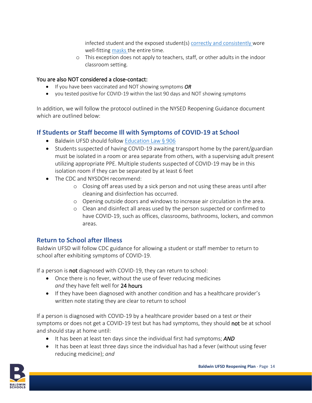infected student and the exposed student(s[\) correctly and consistently w](https://www.cdc.gov/coronavirus/2019-ncov/your-health/effective-masks.html)ore well-fitting [masks t](https://www.cdc.gov/coronavirus/2019-ncov/community/schools-childcare/cloth-face-cover.html)he entire time.

o This exception does not apply to teachers, staff, or other adults in the indoor classroom setting.

### You are also NOT considered a close-contact:

- If you have been vaccinated and NOT showing symptoms *OR*
- you tested positive for COVID-19 within the last 90 days and NOT showing symptoms

In addition, we will follow the protocol outlined in the NYSED Reopening Guidance document which are outlined below:

### <span id="page-14-0"></span>**If Students or Staff become Ill with Symptoms of COVID-19 at School**

- Baldwin UFSD should follow [Education Law § 906](http://www.p12.nysed.gov/sss/schoolhealth/schoolhealthservices/Article19Sections.html)
- Students suspected of having COVID-19 awaiting transport home by the parent/guardian must be isolated in a room or area separate from others, with a supervising adult present utilizing appropriate PPE. Multiple students suspected of COVID-19 may be in this isolation room if they can be separated by at least 6 feet
- The CDC and NYSDOH recommend:
	- o Closing off areas used by a sick person and not using these areas until after cleaning and disinfection has occurred.
	- o Opening outside doors and windows to increase air circulation in the area.
	- o Clean and disinfect all areas used by the person suspected or confirmed to have COVID-19, such as offices, classrooms, bathrooms, lockers, and common areas.

## <span id="page-14-1"></span>**Return to School after Illness**

Baldwin UFSD will follow CDC guidance for allowing a student or staff member to return to school after exhibiting symptoms of COVID-19.

If a person is **not** diagnosed with COVID-19, they can return to school:

- Once there is no fever, without the use of fever reducing medicines *and* they have felt well for 24 hours
- If they have been diagnosed with another condition and has a healthcare provider's written note stating they are clear to return to school

If a person is diagnosed with COVID-19 by a healthcare provider based on a test *or* their symptoms or does not get a COVID-19 test but has had symptoms, they should not be at school and should stay at home until:

- It has been at least ten days since the individual first had symptoms; *AND*
- It has been at least three days since the individual has had a fever (without using fever reducing medicine); *and*

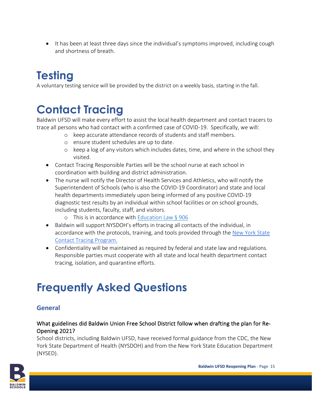• It has been at least three days since the individual's symptoms improved, including cough and shortness of breath.

# <span id="page-15-0"></span>**Testing**

A voluntary testing service will be provided by the district on a weekly basis, starting in the fall.

## <span id="page-15-1"></span>**Contact Tracing**

Baldwin UFSD will make every effort to assist the local health department and contact tracers to trace all persons who had contact with a confirmed case of COVID-19. Specifically, we will:

- o keep accurate attendance records of students and staff members.
- o ensure student schedules are up to date.
- $\circ$  keep a log of any visitors which includes dates, time, and where in the school they visited.
- Contact Tracing Responsible Parties will be the school nurse at each school in coordination with building and district administration.
- The nurse will notify the Director of Health Services and Athletics, who will notify the Superintendent of Schools (who is also the COVID-19 Coordinator) and state and local health departments immediately upon being informed of any positive COVID-19 diagnostic test results by an individual within school facilities or on school grounds, including students, faculty, staff, and visitors.
	- $\circ$  This is in accordance with [Education Law § 906](http://www.p12.nysed.gov/sss/schoolhealth/schoolhealthservices/Article19Sections.html)
- Baldwin will support NYSDOH's efforts in tracing all contacts of the individual, in accordance with the protocols, training, and tools provided through the [New York State](https://coronavirus.health.ny.gov/new-york-state-contact-tracing)  [Contact Tracing Program.](https://coronavirus.health.ny.gov/new-york-state-contact-tracing)
- Confidentiality will be maintained as required by federal and state law and regulations. Responsible parties must cooperate with all state and local health department contact tracing, isolation, and quarantine efforts.

## <span id="page-15-2"></span>**Frequently Asked Questions**

## <span id="page-15-3"></span>**General**

### What guidelines did Baldwin Union Free School District follow when drafting the plan for Re-Opening 2021?

School districts, including Baldwin UFSD, have received formal guidance from the CDC, the New York State Department of Health (NYSDOH) and from the New York State Education Department (NYSED).

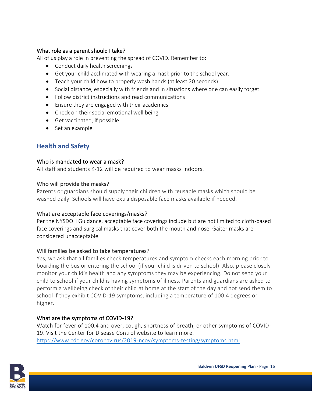### What role as a parent should I take?

All of us play a role in preventing the spread of COVID. Remember to:

- Conduct daily health screenings
- Get your child acclimated with wearing a mask prior to the school year.
- Teach your child how to properly wash hands (at least 20 seconds)
- Social distance, especially with friends and in situations where one can easily forget
- Follow district instructions and read communications
- Ensure they are engaged with their academics
- Check on their social emotional well being
- Get vaccinated, if possible
- Set an example

## <span id="page-16-0"></span>**Health and Safety**

### Who is mandated to wear a mask?

All staff and students K-12 will be required to wear masks indoors.

### Who will provide the masks?

Parents or guardians should supply their children with reusable masks which should be washed daily. Schools will have extra disposable face masks available if needed.

### What are acceptable face coverings/masks?

Per the NYSDOH Guidance, acceptable face coverings include but are not limited to cloth-based face coverings and surgical masks that cover both the mouth and nose. Gaiter masks are considered unacceptable.

### Will families be asked to take temperatures?

Yes, we ask that all families check temperatures and symptom checks each morning prior to boarding the bus or entering the school (if your child is driven to school). Also, please closely monitor your child's health and any symptoms they may be experiencing. Do not send your child to school if your child is having symptoms of illness. Parents and guardians are asked to perform a wellbeing check of their child at home at the start of the day and not send them to school if they exhibit COVID-19 symptoms, including a temperature of 100.4 degrees or higher.

### What are the symptoms of COVID-19?

Watch for fever of 100.4 and over, cough, shortness of breath, or other symptoms of COVID-19. Visit the Center for Disease Control website to learn more. <https://www.cdc.gov/coronavirus/2019-ncov/symptoms-testing/symptoms.html>

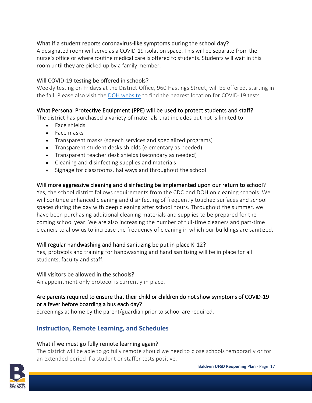### What if a student reports coronavirus-like symptoms during the school day?

A designated room will serve as a COVID-19 isolation space. This will be separate from the nurse's office or where routine medical care is offered to students. Students will wait in this room until they are picked up by a family member.

### Will COVID-19 testing be offered in schools?

Weekly testing on Fridays at the District Office, 960 Hastings Street, will be offered, starting in the fall. Please also visit the DOH [website](https://coronavirus.health.ny.gov/find-test-site-near-you) to find the nearest location for COVID-19 tests.

### What Personal Protective Equipment (PPE) will be used to protect students and staff?

The district has purchased a variety of materials that includes but not is limited to:

- Face shields
- Face masks
- Transparent masks (speech services and specialized programs)
- Transparent student desks shields (elementary as needed)
- Transparent teacher desk shields (secondary as needed)
- Cleaning and disinfecting supplies and materials
- Signage for classrooms, hallways and throughout the school

### Will more aggressive cleaning and disinfecting be implemented upon our return to school?

Yes, the school district follows requirements from the CDC and DOH on cleaning schools. We will continue enhanced cleaning and disinfecting of frequently touched surfaces and school spaces during the day with deep cleaning after school hours. Throughout the summer, we have been purchasing additional cleaning materials and supplies to be prepared for the coming school year. We are also increasing the number of full-time cleaners and part-time cleaners to allow us to increase the frequency of cleaning in which our buildings are sanitized.

### Will regular handwashing and hand sanitizing be put in place K-12?

Yes, protocols and training for handwashing and hand sanitizing will be in place for all students, faculty and staff.

#### Will visitors be allowed in the schools?

An appointment only protocol is currently in place.

### Are parents required to ensure that their child or children do not show symptoms of COVID-19 or a fever before boarding a bus each day?

Screenings at home by the parent/guardian prior to school are required.

### <span id="page-17-0"></span>**Instruction, Remote Learning, and Schedules**

#### What if we must go fully remote learning again?

The district will be able to go fully remote should we need to close schools temporarily or for an extended period if a student or staffer tests positive.

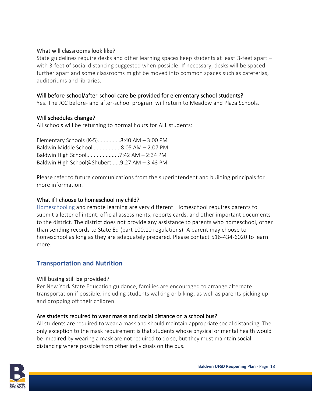### What will classrooms look like?

State guidelines require desks and other learning spaces keep students at least 3-feet apart – with 3-feet of social distancing suggested when possible. If necessary, desks will be spaced further apart and some classrooms might be moved into common spaces such as cafeterias, auditoriums and libraries.

### Will before-school/after-school care be provided for elementary school students?

Yes. The JCC before- and after-school program will return to Meadow and Plaza Schools.

### Will schedules change?

All schools will be returning to normal hours for ALL students:

| Elementary Schools (K-5)8:40 AM - 3:00 PM    |  |
|----------------------------------------------|--|
| Baldwin Middle School8:05 AM - 2:07 PM       |  |
|                                              |  |
| Baldwin High School@Shubert9:27 AM - 3:43 PM |  |

Please refer to future communications from the superintendent and building principals for more information.

#### What if I choose to homeschool my child?

[Homeschooling](http://www.p12.nysed.gov/part100/pages/10010.html) and remote learning are very different. Homeschool requires parents to submit a letter of intent, official assessments, reports cards, and other important documents to the district. The district does not provide any assistance to parents who homeschool, other than sending records to State Ed (part 100.10 regulations). A parent may choose to homeschool as long as they are adequately prepared. Please contact 516-434-6020 to learn more.

## <span id="page-18-0"></span>**Transportation and Nutrition**

### Will busing still be provided?

Per New York State Education guidance, families are encouraged to arrange alternate transportation if possible, including students walking or biking, as well as parents picking up and dropping off their children.

### Are students required to wear masks and social distance on a school bus?

All students are required to wear a mask and should maintain appropriate social distancing. The only exception to the mask requirement is that students whose physical or mental health would be impaired by wearing a mask are not required to do so, but they must maintain social distancing where possible from other individuals on the bus.